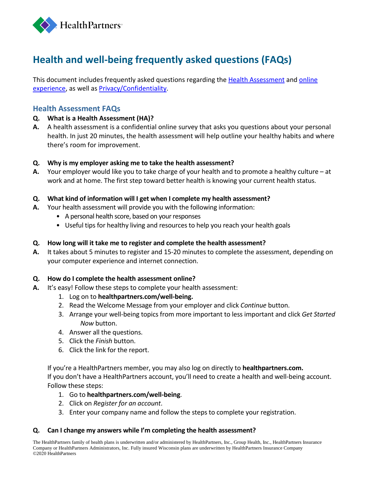

# **Health and well-being frequently asked questions (FAQs)**

This document includes frequently asked questions regarding the [Health Assessment](#page-0-0) and online [experience,](#page-1-0) as well as **Privacy/Confidentiality**.

## <span id="page-0-0"></span>**Health Assessment FAQs**

- **Q. What is a Health Assessment (HA)?**
- **A.** A health assessment is a confidential online survey that asks you questions about your personal health. In just 20 minutes, the health assessment will help outline your healthy habits and where there's room for improvement.
- **Q. Why is my employer asking me to take the health assessment?**
- **A.** Your employer would like you to take charge of your health and to promote a healthy culture at work and at home. The first step toward better health is knowing your current health status.
- **Q. What kind of information will I get when I complete my health assessment?**
- **A.** Your health assessment will provide you with the following information:
	- A personal health score, based on your responses
	- Useful tips for healthy living and resources to help you reach your health goals
- **Q. How long will it take me to register and complete the health assessment?**
- **A.** It takes about 5 minutes to register and 15-20 minutes to complete the assessment, depending on your computer experience and internet connection.

### **Q. How do I complete the health assessment online?**

- **A.** It's easy! Follow these steps to complete your health assessment:
	- 1. Log on to **healthpartners.com/well-being.**
	- 2. Read the Welcome Message from your employer and click *Continue* button.
	- 3. Arrange your well-being topics from more important to less important and click *Get Started Now* button.
	- 4. Answer all the questions.
	- 5. Click the *Finish* button.
	- 6. Click the link for the report.

If you're a HealthPartners member, you may also log on directly to **healthpartners.com.** If you don't have a HealthPartners account, you'll need to create a health and well-being account. Follow these steps:

- 1. Go to **healthpartners.com/well-being**.
- 2. Click on *Register for an account*.
- 3. Enter your company name and follow the steps to complete your registration.

### **Q. Can I change my answers while I'm completing the health assessment?**

The HealthPartners family of health plans is underwritten and/or administered by HealthPartners, Inc., Group Health, Inc., HealthPartners Insurance Company or HealthPartners Administrators, Inc. Fully insured Wisconsin plans are underwritten by HealthPartners Insurance Company ©2020 HealthPartners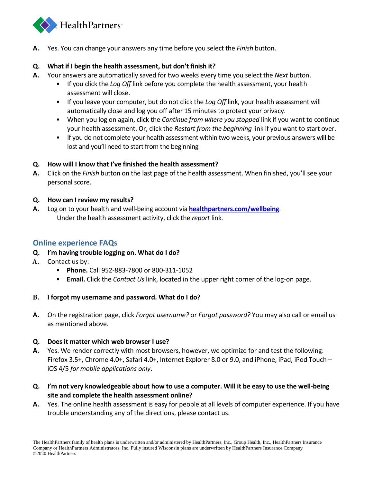

**A.** Yes. You can change your answers any time before you select the *Finish* button.

## **Q. What if I begin the health assessment, but don't finish it?**

- **A.** Your answers are automatically saved for two weeks every time you select the *Next* button.
	- If you click the *Log Off* link before you complete the health assessment, your health assessment will close.
	- If you leave your computer, but do not click the *Log Off* link, your health assessment will automatically close and log you off after 15 minutes to protect your privacy.
	- When you log on again, click the *Continue from where you stopped* link if you want to continue your health assessment. Or, click the *Restart from the beginning* link if you want to start over.
	- If you do not complete your health assessment within two weeks, your previous answers will be lost and you'll need to start from the beginning

## **Q. How will I know that I've finished the health assessment?**

**A.** Click on the *Finish* button on the last page of the health assessment. When finished, you'll see your personal score.

## **Q. How can I review my results?**

**A.** Log on to your health and well-being account via **[healthpartners.com/wellbeing](http://www.healthpartners.com/wellbeing)**. Under the health assessment activity, click the *report* link*.*

# <span id="page-1-0"></span>**Online experience FAQs**

## **Q. I'm having trouble logging on. What do I do?**

- **A.** Contact us by:
	- **Phone.** Call 952-883-7800 or 800-311-1052
	- **Email.** Click the *Contact Us* link, located in the upper right corner of the log-on page.
- **B. I forgot my username and password. What do I do?**
- **A.** On the registration page, click *Forgot username?* or *Forgot password?* You may also call or email us as mentioned above.

## **Q. Does it matter which web browser I use?**

- **A.** Yes. We render correctly with most browsers, however, we optimize for and test the following: Firefox 3.5+, Chrome 4.0+, Safari 4.0+, Internet Explorer 8.0 or 9.0, and iPhone, iPad, iPod Touch – iOS 4/5 *for mobile applications only*.
- **Q. I'm not very knowledgeable about how to use a computer. Will it be easy to use the well-being site and complete the health assessment online?**
- **A.** Yes. The online health assessment is easy for people at all levels of computer experience. If you have trouble understanding any of the directions, please contact us.